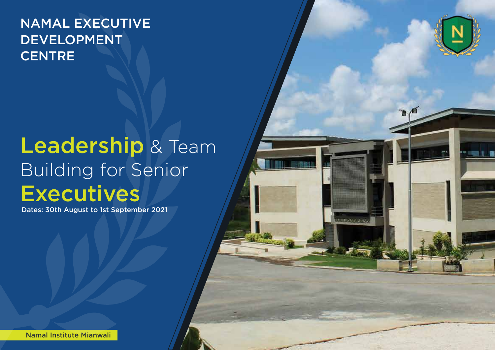#### NAMAL EXECUTIVE DEVELOPMENT **CENTRE**

## Leadership & Team Building for Senior Executives

Dates: 30th August to 1st September 2021



**MANUFACTURERS**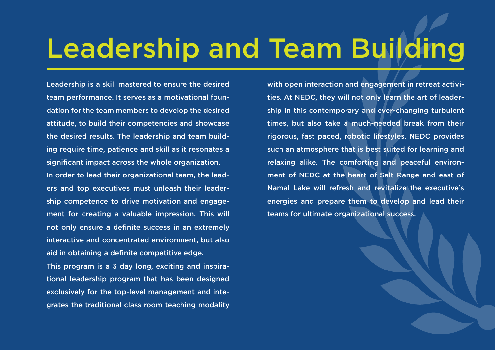# Leadership and Team Building

Leadership is a skill mastered to ensure the desired team performance. It serves as a motivational foundation for the team members to develop the desired attitude, to build their competencies and showcase the desired results. The leadership and team building require time, patience and skill as it resonates a significant impact across the whole organization. In order to lead their organizational team, the leaders and top executives must unleash their leadership competence to drive motivation and engagement for creating a valuable impression. This will not only ensure a definite success in an extremely interactive and concentrated environment, but also aid in obtaining a definite competitive edge.

This program is a 3 day long, exciting and inspirational leadership program that has been designed exclusively for the top-level management and integrates the traditional class room teaching modality with open interaction and engagement in retreat activities. At NEDC, they will not only learn the art of leadership in this contemporary and ever-changing turbulent times, but also take a much-needed break from their rigorous, fast paced, robotic lifestyles. NEDC provides such an atmosphere that is best suited for learning and relaxing alike. The comforting and peaceful environment of NEDC at the heart of Salt Range and east of Namal Lake will refresh and revitalize the executive's energies and prepare them to develop and lead their teams for ultimate organizational success.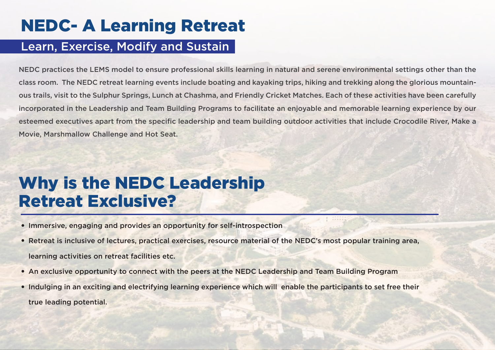### NEDC- A Learning Retreat

#### Learn, Exercise, Modify and Sustain

NEDC practices the LEMS model to ensure professional skills learning in natural and serene environmental settings other than the class room. The NEDC retreat learning events include boating and kayaking trips, hiking and trekking along the glorious mountainous trails, visit to the Sulphur Springs, Lunch at Chashma, and Friendly Cricket Matches. Each of these activities have been carefully incorporated in the Leadership and Team Building Programs to facilitate an enjoyable and memorable learning experience by our esteemed executives apart from the specific leadership and team building outdoor activities that include Crocodile River, Make a Movie, Marshmallow Challenge and Hot Seat.

### Why is the NEDC Leadership Retreat Exclusive?

- Immersive, engaging and provides an opportunity for self-introspection
- Retreat is inclusive of lectures, practical exercises, resource material of the NEDC's most popular training area, learning activities on retreat facilities etc.
- An exclusive opportunity to connect with the peers at the NEDC Leadership and Team Building Program
- Indulging in an exciting and electrifying learning experience which will enable the participants to set free their true leading potential.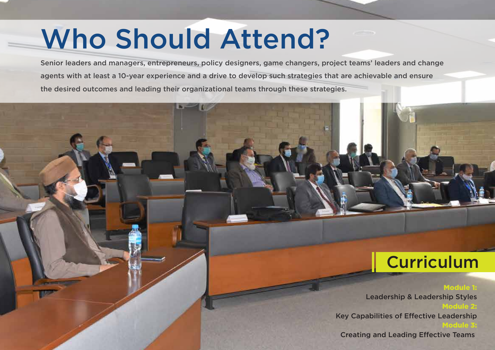# Who Should Attend?

Senior leaders and managers, entrepreneurs, policy designers, game changers, project teams' leaders and change agents with at least a 10-year experience and a drive to develop such strategies that are achievable and ensure the desired outcomes and leading their organizational teams through these strategies.

### **Curriculum**

Module 1: Leadership & Leadership Styles Module 2: Key Capabilities of Effective Leadership Module 3: Creating and Leading Effective Teams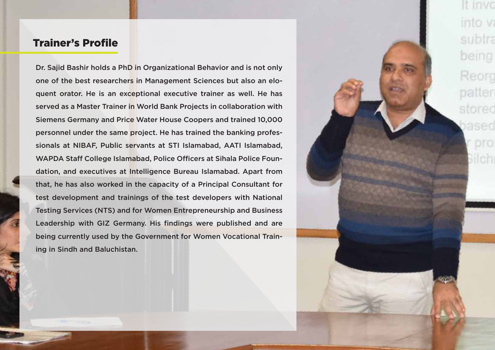#### Trainer's Profile

Dr. Sajid Bashir holds a PhD in Organizational Behavior and is not only one of the best researchers in Management Sciences but also an eloquent orator. He is an exceptional executive trainer as well. He has served as a Master Trainer in World Bank Projects in collaboration with Siemens Germany and Price Water House Coopers and trained 10,000 personnel under the same project. He has trained the banking professionals at NIBAF, Public servants at STI Islamabad, AATI Islamabad, WAPDA Staff College Islamabad, Police Officers at Sihala Police Foundation, and executives at Intelligence Bureau Islamabad. Apart from that, he has also worked in the capacity of a Principal Consultant for test development and trainings of the test developers with National Testing Services (NTS) and for Women Entrepreneurship and Business Leadership with GIZ Germany. His findings were published and are being currently used by the Government for Women Vocational Training in Sindh and Baluchistan.

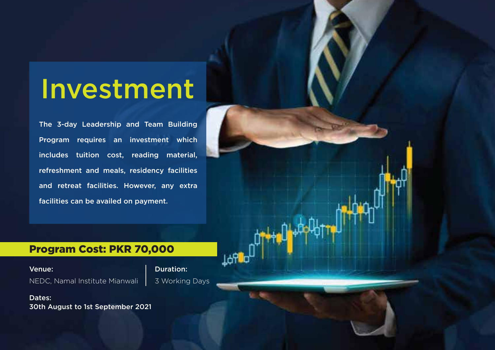## Investment

The 3-day Leadership and Team Building Program requires an investment which includes tuition cost, reading material, refreshment and meals, residency facilities and retreat facilities. However, any extra facilities can be availed on payment.

#### Program Cost: PKR 70,000

Venue: NEDC, Namal Institute Mianwali

Duration: 3 Working Days

Dates: 30th August to 1st September 2021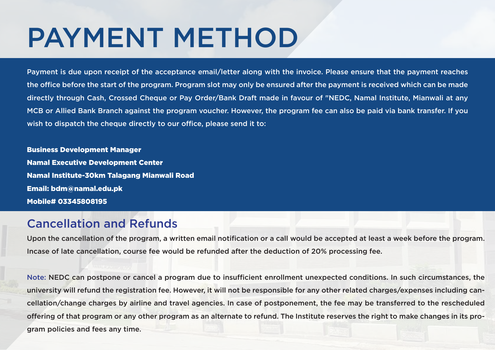## PAYMENT METHOD

Payment is due upon receipt of the acceptance email/letter along with the invoice. Please ensure that the payment reaches the office before the start of the program. Program slot may only be ensured after the payment is received which can be made directly through Cash, Crossed Cheque or Pay Order/Bank Draft made in favour of "NEDC, Namal Institute, Mianwali at any MCB or Allied Bank Branch against the program voucher. However, the program fee can also be paid via bank transfer. If you wish to dispatch the cheque directly to our office, please send it to:

Business Development Manager Namal Executive Development Center Namal Institute-30km Talagang Mianwali Road Email: bdm@namal.edu.pk Mobile# 03345808195

#### Cancellation and Refunds

Upon the cancellation of the program, a written email notification or a call would be accepted at least a week before the program. Incase of late cancellation, course fee would be refunded after the deduction of 20% processing fee.

Note: NEDC can postpone or cancel a program due to insufficient enrollment unexpected conditions. In such circumstances, the university will refund the registration fee. However, it will not be responsible for any other related charges/expenses including cancellation/change charges by airline and travel agencies. In case of postponement, the fee may be transferred to the rescheduled offering of that program or any other program as an alternate to refund. The Institute reserves the right to make changes in its program policies and fees any time.